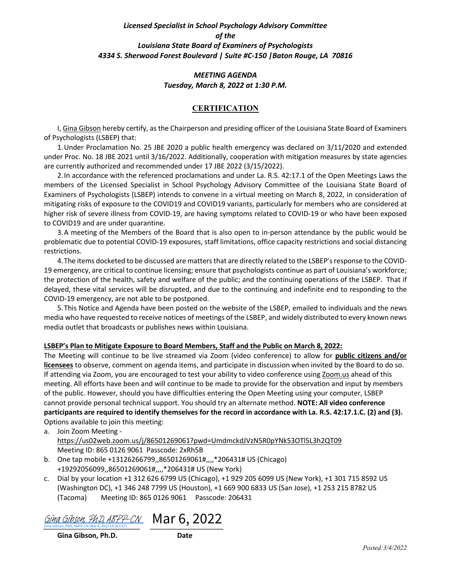#### *Licensed Specialist in School Psychology Advisory Committee of the Louisiana State Board of Examiners of Psychologists 4334 S. Sherwood Forest Boulevard | Suite #C-150 |Baton Rouge, LA 70816*

#### *MEETING AGENDA Tuesday, March 8, 2022 at 1:30 P.M.*

#### **CERTIFICATION**

I, Gina Gibson hereby certify, as the Chairperson and presiding officer of the Louisiana State Board of Examiners of Psychologists (LSBEP) that:

1.Under Proclamation No. 25 JBE 2020 a public health emergency was declared on 3/11/2020 and extended under Proc. No. 18 JBE 2021 until 3/16/2022. Additionally, cooperation with mitigation measures by state agencies are currently authorized and recommended under 17 JBE 2022 (3/15/2022).

2.In accordance with the referenced proclamations and under La. R.S. 42:17.1 of the Open Meetings Laws the members of the Licensed Specialist in School Psychology Advisory Committee of the Louisiana State Board of Examiners of Psychologists (LSBEP) intends to convene in a virtual meeting on March 8, 2022, in consideration of mitigating risks of exposure to the COVID19 and COVID19 variants, particularly for members who are considered at higher risk of severe illness from COVID-19, are having symptoms related to COVID-19 or who have been exposed to COVID19 and are under quarantine.

3.A meeting of the Members of the Board that is also open to in-person attendance by the public would be problematic due to potential COVID-19 exposures, staff limitations, office capacity restrictions and social distancing restrictions.

4.The items docketed to be discussed are matters that are directly related to the LSBEP's response to the COVID-19 emergency, are critical to continue licensing; ensure that psychologists continue as part of Louisiana's workforce; the protection of the health, safety and welfare of the public; and the continuing operations of the LSBEP. That if delayed, these vital services will be disrupted, and due to the continuing and indefinite end to responding to the COVID-19 emergency, are not able to be postponed.

5.This Notice and Agenda have been posted on the website of the LSBEP, emailed to individuals and the news media who have requested to receive notices of meetings of the LSBEP, and widely distributed to every known news media outlet that broadcasts or publishes news within Louisiana.

#### **LSBEP's Plan to Mitigate Exposure to Board Members, Staff and the Public on March 8, 2022:**

The Meeting will continue to be live streamed via Zoom (video conference) to allow for **public citizens and/or licensees** to observe, comment on agenda items, and participate in discussion when invited by the Board to do so. If attending via Zoom, you are encouraged to test your ability to video conference using Zoom.us ahead of this meeting. All efforts have been and will continue to be made to provide for the observation and input by members of the public. However, should you have difficulties entering the Open Meeting using your computer, LSBEP cannot provide personal technical support. You should try an alternate method. **NOTE: All video conference participants are required to identify themselves for the record in accordance with La. R.S. 42:17.1.C. (2) and (3).** Options available to join this meeting:

a. Join Zoom Meeting https://us02web.zoom.us/j/86501269061?pwd=UmdmckdJVzN5R0pYNk53OTl5L3h2QT09 Meeting ID: 865 0126 9061 Passcode: 2xRh5B

- b. One tap mobile +13126266799,,86501269061#,,,,\*206431# US (Chicago) +19292056099,,86501269061#,,,,\*206431# US (New York)
- c. Dial by your location +1 312 626 6799 US (Chicago), +1 929 205 6099 US (New York), +1 301 715 8592 US (Washington DC), +1 346 248 7799 US (Houston), +1 669 900 6833 US (San Jose), +1 253 215 8782 US (Tacoma) Meeting ID: 865 0126 9061 Passcode: 206431

[Gina Gibson, PhD, ABPP-CN](https://na1.documents.adobe.com/verifier?tx=CBJCHBCAABAAPuYo0sHcOtxEPMCacVwE1rtT3fHvLSDT) Mar 6, 2022 Gina Gibson, PhD, ABPP-CN (Mar 6, 2022 19:32 CST)

**Gina Gibson, Ph.D. Date**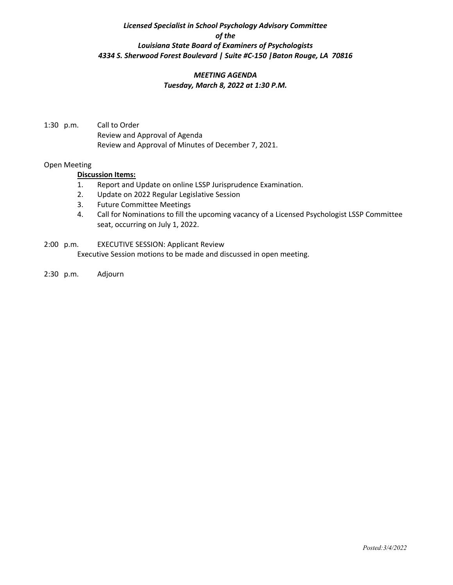### *Licensed Specialist in School Psychology Advisory Committee of the Louisiana State Board of Examiners of Psychologists 4334 S. Sherwood Forest Boulevard | Suite #C-150 |Baton Rouge, LA 70816*

#### *MEETING AGENDA Tuesday, March 8, 2022 at 1:30 P.M.*

1:30 p.m. Call to Order Review and Approval of Agenda Review and Approval of Minutes of December 7, 2021.

#### Open Meeting

#### **Discussion Items:**

- 1. Report and Update on online LSSP Jurisprudence Examination.
- 2. Update on 2022 Regular Legislative Session
- 3. Future Committee Meetings
- 4. Call for Nominations to fill the upcoming vacancy of a Licensed Psychologist LSSP Committee seat, occurring on July 1, 2022.
- 2:00 p.m. EXECUTIVE SESSION: Applicant Review Executive Session motions to be made and discussed in open meeting.
- 2:30 p.m. Adjourn